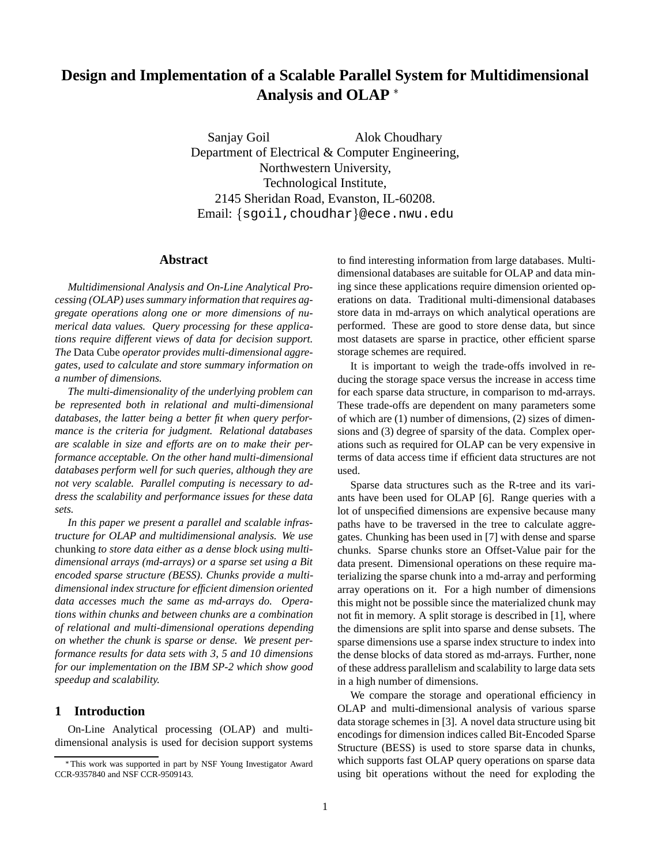# **Design and Implementation of a Scalable Parallel System for Multidimensional Analysis and OLAP**

Sanjay Goil Alok Choudhary Department of Electrical & Computer Engineering, Northwestern University, Technological Institute, 2145 Sheridan Road, Evanston, IL-60208. Email: {sgoil, choudhar}@ece.nwu.edu

## **Abstract**

*Multidimensional Analysis and On-Line Analytical Processing (OLAP) uses summary information that requires aggregate operations along one or more dimensions of numerical data values. Query processing for these applications require different views of data for decision support. The* Data Cube *operator provides multi-dimensional aggregates, used to calculate and store summary information on a number of dimensions.*

*The multi-dimensionality of the underlying problem can be represented both in relational and multi-dimensional databases, the latter being a better fit when query performance is the criteria for judgment. Relational databases are scalable in size and efforts are on to make their performance acceptable. On the other hand multi-dimensional databases perform well for such queries, although they are not very scalable. Parallel computing is necessary to address the scalability and performance issues for these data sets.*

*In this paper we present a parallel and scalable infrastructure for OLAP and multidimensional analysis. We use* chunking *to store data either as a dense block using multidimensional arrays (md-arrays) or a sparse set using a Bit encoded sparse structure (BESS). Chunks provide a multidimensional index structure for efficient dimension oriented data accesses much the same as md-arrays do. Operations within chunks and between chunks are a combination of relational and multi-dimensional operations depending on whether the chunk is sparse or dense. We present performance results for data sets with 3, 5 and 10 dimensions for our implementation on the IBM SP-2 which show good speedup and scalability.*

## **1 Introduction**

On-Line Analytical processing (OLAP) and multidimensional analysis is used for decision support systems to find interesting information from large databases. Multidimensional databases are suitable for OLAP and data mining since these applications require dimension oriented operations on data. Traditional multi-dimensional databases store data in md-arrays on which analytical operations are performed. These are good to store dense data, but since most datasets are sparse in practice, other efficient sparse storage schemes are required.

It is important to weigh the trade-offs involved in reducing the storage space versus the increase in access time for each sparse data structure, in comparison to md-arrays. These trade-offs are dependent on many parameters some of which are (1) number of dimensions, (2) sizes of dimensions and (3) degree of sparsity of the data. Complex operations such as required for OLAP can be very expensive in terms of data access time if efficient data structures are not used.

Sparse data structures such as the R-tree and its variants have been used for OLAP [6]. Range queries with a lot of unspecified dimensions are expensive because many paths have to be traversed in the tree to calculate aggregates. Chunking has been used in [7] with dense and sparse chunks. Sparse chunks store an Offset-Value pair for the data present. Dimensional operations on these require materializing the sparse chunk into a md-array and performing array operations on it. For a high number of dimensions this might not be possible since the materialized chunk may not fit in memory. A split storage is described in [1], where the dimensions are split into sparse and dense subsets. The sparse dimensions use a sparse index structure to index into the dense blocks of data stored as md-arrays. Further, none of these address parallelism and scalability to large data sets in a high number of dimensions.

We compare the storage and operational efficiency in OLAP and multi-dimensional analysis of various sparse data storage schemes in [3]. A novel data structure using bit encodings for dimension indices called Bit-Encoded Sparse Structure (BESS) is used to store sparse data in chunks, which supports fast OLAP query operations on sparse data using bit operations without the need for exploding the

This work was supported in part by NSF Young Investigator Award CCR-9357840 and NSF CCR-9509143.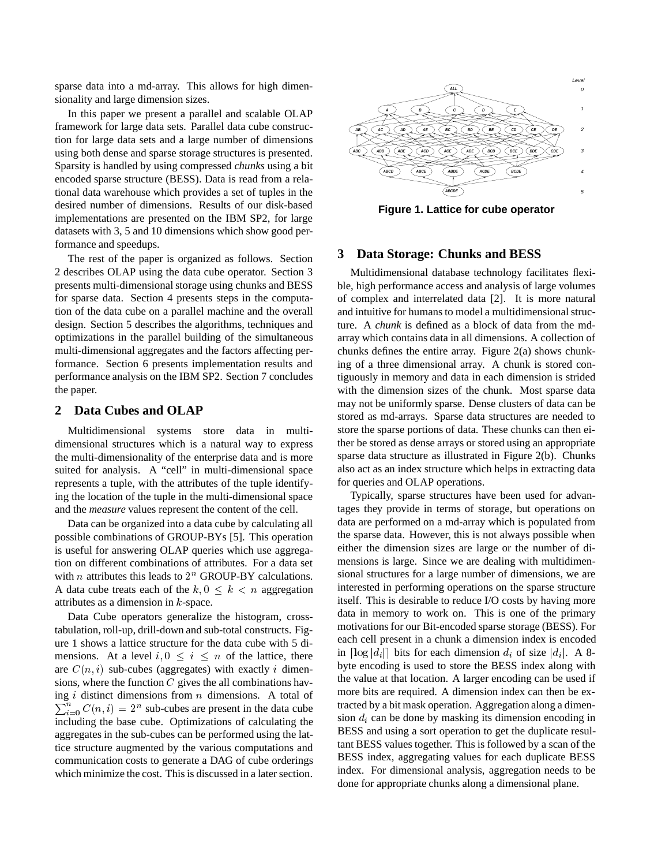sparse data into a md-array. This allows for high dimensionality and large dimension sizes.

In this paper we present a parallel and scalable OLAP framework for large data sets. Parallel data cube construction for large data sets and a large number of dimensions using both dense and sparse storage structures is presented. Sparsity is handled by using compressed *chunks* using a bit encoded sparse structure (BESS). Data is read from a relational data warehouse which provides a set of tuples in the desired number of dimensions. Results of our disk-based implementations are presented on the IBM SP2, for large datasets with 3, 5 and 10 dimensions which show good performance and speedups.

The rest of the paper is organized as follows. Section 2 describes OLAP using the data cube operator. Section 3 presents multi-dimensional storage using chunks and BESS for sparse data. Section 4 presents steps in the computation of the data cube on a parallel machine and the overall design. Section 5 describes the algorithms, techniques and optimizations in the parallel building of the simultaneous multi-dimensional aggregates and the factors affecting performance. Section 6 presents implementation results and performance analysis on the IBM SP2. Section 7 concludes the paper.

## **2 Data Cubes and OLAP**

Multidimensional systems store data in multidimensional structures which is a natural way to express the multi-dimensionality of the enterprise data and is more suited for analysis. A "cell" in multi-dimensional space represents a tuple, with the attributes of the tuple identifying the location of the tuple in the multi-dimensional space and the *measure* values represent the content of the cell.

Data can be organized into a data cube by calculating all possible combinations of GROUP-BYs [5]. This operation is useful for answering OLAP queries which use aggregation on different combinations of attributes. For a data set with *n* attributes this leads to  $2^n$  GROUP-BY calculations. A data cube treats each of the  $k, 0 \leq k < n$  aggregation attributes as a dimension in k-space.

Data Cube operators generalize the histogram, crosstabulation, roll-up, drill-down and sub-total constructs. Figure 1 shows a lattice structure for the data cube with 5 dimensions. At a level  $i, 0 \le i \le n$  of the lattice, there are  $C(n, i)$  sub-cubes (aggregates) with exactly i dimensions, where the function  $C$  gives the all combinations having  $i$  distinct dimensions from  $n$  dimensions. A total of  $\sum_{i=0}^{n} C(n, i) = 2^{n}$  sub-cubes are present in the data cube including the base cube. Optimizations of calculating the aggregates in the sub-cubes can be performed using the lattice structure augmented by the various computations and communication costs to generate a DAG of cube orderings which minimize the cost. This is discussed in a later section.



**Figure 1. Lattice for cube operator**

### **3 Data Storage: Chunks and BESS**

Multidimensional database technology facilitates flexible, high performance access and analysis of large volumes of complex and interrelated data [2]. It is more natural and intuitive for humans to model a multidimensional structure. A *chunk* is defined as a block of data from the mdarray which contains data in all dimensions. A collection of chunks defines the entire array. Figure 2(a) shows chunking of a three dimensional array. A chunk is stored contiguously in memory and data in each dimension is strided with the dimension sizes of the chunk. Most sparse data may not be uniformly sparse. Dense clusters of data can be stored as md-arrays. Sparse data structures are needed to store the sparse portions of data. These chunks can then either be stored as dense arrays or stored using an appropriate sparse data structure as illustrated in Figure 2(b). Chunks also act as an index structure which helps in extracting data for queries and OLAP operations.

Typically, sparse structures have been used for advantages they provide in terms of storage, but operations on data are performed on a md-array which is populated from the sparse data. However, this is not always possible when either the dimension sizes are large or the number of dimensions is large. Since we are dealing with multidimensional structures for a large number of dimensions, we are interested in performing operations on the sparse structure itself. This is desirable to reduce I/O costs by having more data in memory to work on. This is one of the primary motivations for our Bit-encoded sparse storage (BESS). For each cell present in a chunk a dimension index is encoded in  $\lceil \log |d_i| \rceil$  bits for each dimension  $d_i$  of size  $|d_i|$ . A 8byte encoding is used to store the BESS index along with the value at that location. A larger encoding can be used if more bits are required. A dimension index can then be extracted by a bit mask operation. Aggregation along a dimension  $d_i$  can be done by masking its dimension encoding in BESS and using a sort operation to get the duplicate resultant BESS values together. This is followed by a scan of the BESS index, aggregating values for each duplicate BESS index. For dimensional analysis, aggregation needs to be done for appropriate chunks along a dimensional plane.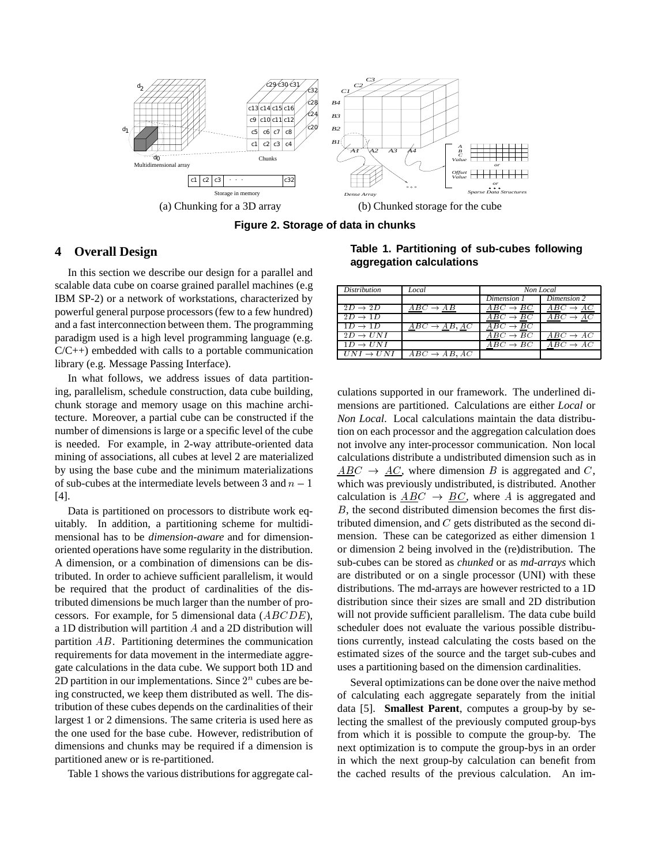

**Figure 2. Storage of data in chunks**

## **4 Overall Design**

In this section we describe our design for a parallel and scalable data cube on coarse grained parallel machines (e.g IBM SP-2) or a network of workstations, characterized by powerful general purpose processors (few to a few hundred) and a fast interconnection between them. The programming paradigm used is a high level programming language (e.g.  $C/C++$ ) embedded with calls to a portable communication library (e.g. Message Passing Interface).

In what follows, we address issues of data partitioning, parallelism, schedule construction, data cube building, chunk storage and memory usage on this machine architecture. Moreover, a partial cube can be constructed if the number of dimensions is large or a specific level of the cube is needed. For example, in 2-way attribute-oriented data mining of associations, all cubes at level 2 are materialized by using the base cube and the minimum materializations of sub-cubes at the intermediate levels between 3 and  $n - 1$ [4].

Data is partitioned on processors to distribute work equitably. In addition, a partitioning scheme for multidimensional has to be *dimension-aware* and for dimensionoriented operations have some regularity in the distribution. A dimension, or a combination of dimensions can be distributed. In order to achieve sufficient parallelism, it would be required that the product of cardinalities of the distributed dimensions be much larger than the number of processors. For example, for 5 dimensional data (ABCDE), a 1D distribution will partition A and a 2D distribution will partition AB. Partitioning determines the communication requirements for data movement in the intermediate aggregate calculations in the data cube. We support both 1D and 2D partition in our implementations. Since  $2^n$  cubes are being constructed, we keep them distributed as well. The distribution of these cubes depends on the cardinalities of their largest 1 or 2 dimensions. The same criteria is used here as the one used for the base cube. However, redistribution of dimensions and chunks may be required if a dimension is partitioned anew or is re-partitioned.

Table 1 shows the various distributions for aggregate cal-

**Table 1. Partitioning of sub-cubes following aggregation calculations**

| <i>Distribution</i>   | Local                     | Non Local                       |                      |  |
|-----------------------|---------------------------|---------------------------------|----------------------|--|
|                       |                           | Dimension 1                     | Dimension 2          |  |
| $2D \rightarrow 2D$   | $ABC \rightarrow AB$      | $\overline{ABC} \rightarrow BC$ | $ABC \rightarrow AC$ |  |
| $2D \rightarrow 1D$   |                           | $ABC \rightarrow BC$            | $ABC \rightarrow AC$ |  |
| $1D \rightarrow 1D$   | $ABC \rightarrow AB, AC$  | $ABC \rightarrow BC$            |                      |  |
| $2D \rightarrow UNI$  |                           | $ABC \rightarrow BC$            | $ABC \rightarrow AC$ |  |
| $1D \rightarrow UNI$  |                           | $ABC \rightarrow BC$            | $ABC \rightarrow AC$ |  |
| $UNI \rightarrow UNI$ | $ABC \rightarrow AB$ . AC |                                 |                      |  |

culations supported in our framework. The underlined dimensions are partitioned. Calculations are either *Local* or *Non Local*. Local calculations maintain the data distribution on each processor and the aggregation calculation does not involve any inter-processor communication. Non local calculations distribute a undistributed dimension such as in  $ABC \rightarrow AC$ , where dimension B is aggregated and C, which was previously undistributed, is distributed. Another calculation is  $\triangle ABC \rightarrow BC$ , where A is aggregated and B, the second distributed dimension becomes the first distributed dimension, and  $C$  gets distributed as the second dimension. These can be categorized as either dimension 1 or dimension 2 being involved in the (re)distribution. The sub-cubes can be stored as *chunked* or as *md-arrays* which are distributed or on a single processor (UNI) with these distributions. The md-arrays are however restricted to a 1D distribution since their sizes are small and 2D distribution will not provide sufficient parallelism. The data cube build scheduler does not evaluate the various possible distributions currently, instead calculating the costs based on the estimated sizes of the source and the target sub-cubes and uses a partitioning based on the dimension cardinalities.

Several optimizations can be done over the naive method of calculating each aggregate separately from the initial data [5]. **Smallest Parent**, computes a group-by by selecting the smallest of the previously computed group-bys from which it is possible to compute the group-by. The next optimization is to compute the group-bys in an order in which the next group-by calculation can benefit from the cached results of the previous calculation. An im-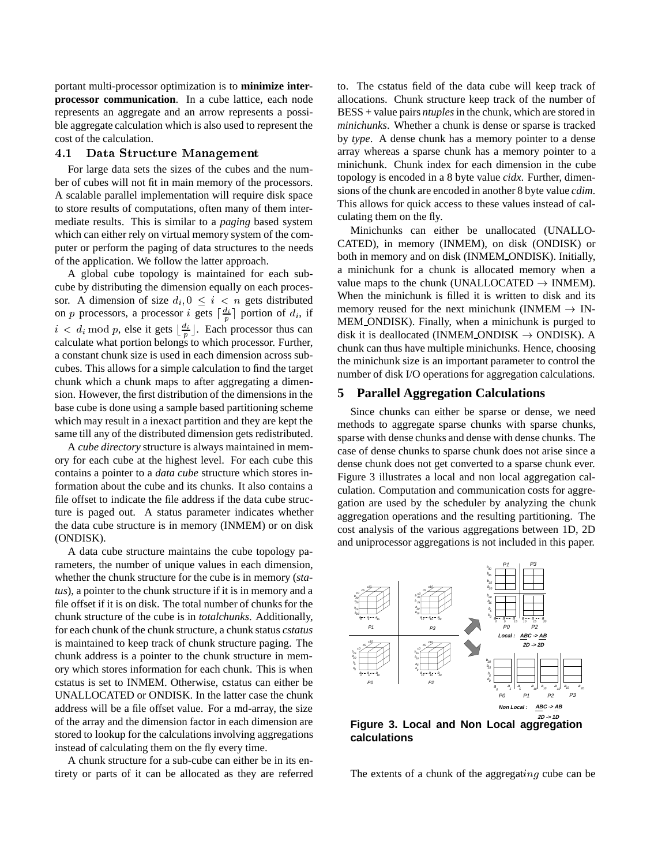portant multi-processor optimization is to **minimize interprocessor communication**. In a cube lattice, each node represents an aggregate and an arrow represents a possible aggregate calculation which is also used to represent the cost of the calculation.

#### 4.1Data Structure Management

For large data sets the sizes of the cubes and the number of cubes will not fit in main memory of the processors. A scalable parallel implementation will require disk space to store results of computations, often many of them intermediate results. This is similar to a *paging* based system which can either rely on virtual memory system of the computer or perform the paging of data structures to the needs of the application. We follow the latter approach.

A global cube topology is maintained for each subcube by distributing the dimension equally on each processor. A dimension of size  $d_i, 0 \leq i < n$  gets distributed on p processors, a processor i gets  $\lceil \frac{d_i}{p} \rceil$  portion of  $d_i$ , if  $i < d_i \mod p$ , else it gets  $\lfloor \frac{d_i}{p} \rfloor$ . Each processor thus can calculate what portion belongs to which processor. Further, a constant chunk size is used in each dimension across subcubes. This allows for a simple calculation to find the target chunk which a chunk maps to after aggregating a dimension. However, the first distribution of the dimensions in the base cube is done using a sample based partitioning scheme which may result in a inexact partition and they are kept the same till any of the distributed dimension gets redistributed.

A *cube directory* structure is always maintained in memory for each cube at the highest level. For each cube this contains a pointer to a *data cube* structure which stores information about the cube and its chunks. It also contains a file offset to indicate the file address if the data cube structure is paged out. A status parameter indicates whether the data cube structure is in memory (INMEM) or on disk (ONDISK).

A data cube structure maintains the cube topology parameters, the number of unique values in each dimension, whether the chunk structure for the cube is in memory (*status*), a pointer to the chunk structure if it is in memory and a file offset if it is on disk. The total number of chunks for the chunk structure of the cube is in *totalchunks*. Additionally, for each chunk of the chunk structure, a chunk status *cstatus* is maintained to keep track of chunk structure paging. The chunk address is a pointer to the chunk structure in memory which stores information for each chunk. This is when cstatus is set to INMEM. Otherwise, cstatus can either be UNALLOCATED or ONDISK. In the latter case the chunk address will be a file offset value. For a md-array, the size of the array and the dimension factor in each dimension are stored to lookup for the calculations involving aggregations instead of calculating them on the fly every time.

A chunk structure for a sub-cube can either be in its entirety or parts of it can be allocated as they are referred to. The cstatus field of the data cube will keep track of allocations. Chunk structure keep track of the number of BESS + value pairs *ntuples*in the chunk, which are stored in *minichunks*. Whether a chunk is dense or sparse is tracked by *type*. A dense chunk has a memory pointer to a dense array whereas a sparse chunk has a memory pointer to a minichunk. Chunk index for each dimension in the cube topology is encoded in a 8 byte value *cidx*. Further, dimensions of the chunk are encoded in another 8 byte value *cdim*. This allows for quick access to these values instead of calculating them on the fly.

Minichunks can either be unallocated (UNALLO-CATED), in memory (INMEM), on disk (ONDISK) or both in memory and on disk (INMEM ONDISK). Initially, a minichunk for a chunk is allocated memory when a value maps to the chunk (UNALLOCATED  $\rightarrow$  INMEM). When the minichunk is filled it is written to disk and its memory reused for the next minichunk (INMEM  $\rightarrow$  IN-MEM ONDISK). Finally, when a minichunk is purged to disk it is deallocated (INMEM\_ONDISK  $\rightarrow$  ONDISK). A chunk can thus have multiple minichunks. Hence, choosing the minichunk size is an important parameter to control the number of disk I/O operations for aggregation calculations.

### **5 Parallel Aggregation Calculations**

Since chunks can either be sparse or dense, we need methods to aggregate sparse chunks with sparse chunks, sparse with dense chunks and dense with dense chunks. The case of dense chunks to sparse chunk does not arise since a dense chunk does not get converted to a sparse chunk ever. Figure 3 illustrates a local and non local aggregation calculation. Computation and communication costs for aggregation are used by the scheduler by analyzing the chunk aggregation operations and the resulting partitioning. The cost analysis of the various aggregations between 1D, 2D and uniprocessor aggregations is not included in this paper.



The extents of a chunk of the aggregating cube can be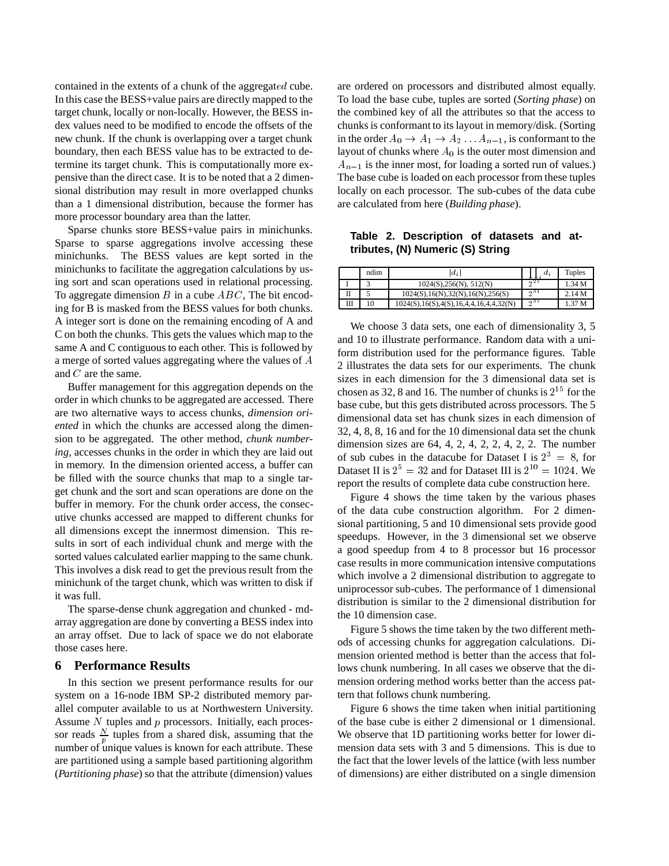contained in the extents of a chunk of the aggregated cube. In this case the BESS+value pairs are directly mapped to the target chunk, locally or non-locally. However, the BESS index values need to be modified to encode the offsets of the new chunk. If the chunk is overlapping over a target chunk boundary, then each BESS value has to be extracted to determine its target chunk. This is computationally more expensive than the direct case. It is to be noted that a 2 dimensional distribution may result in more overlapped chunks than a 1 dimensional distribution, because the former has more processor boundary area than the latter.

Sparse chunks store BESS+value pairs in minichunks. Sparse to sparse aggregations involve accessing these minichunks. The BESS values are kept sorted in the minichunks to facilitate the aggregation calculations by using sort and scan operations used in relational processing. To aggregate dimension  $B$  in a cube  $ABC$ , The bit encoding for B is masked from the BESS values for both chunks. A integer sort is done on the remaining encoding of A and C on both the chunks. This gets the values which map to the same A and C contiguous to each other. This is followed by a merge of sorted values aggregating where the values of A and C are the same.

Buffer management for this aggregation depends on the order in which chunks to be aggregated are accessed. There are two alternative ways to access chunks, *dimension oriented* in which the chunks are accessed along the dimension to be aggregated. The other method, *chunk numbering*, accesses chunks in the order in which they are laid out in memory. In the dimension oriented access, a buffer can be filled with the source chunks that map to a single target chunk and the sort and scan operations are done on the buffer in memory. For the chunk order access, the consecutive chunks accessed are mapped to different chunks for all dimensions except the innermost dimension. This results in sort of each individual chunk and merge with the sorted values calculated earlier mapping to the same chunk. This involves a disk read to get the previous result from the minichunk of the target chunk, which was written to disk if it was full.

The sparse-dense chunk aggregation and chunked - mdarray aggregation are done by converting a BESS index into an array offset. Due to lack of space we do not elaborate those cases here.

## **6 Performance Results**

In this section we present performance results for our system on a 16-node IBM SP-2 distributed memory parallel computer available to us at Northwestern University. Assume  $N$  tuples and  $p$  processors. Initially, each processor reads  $\frac{N}{p}$  tuples from a shared disk, assuming that the number of unique values is known for each attribute. These are partitioned using a sample based partitioning algorithm (*Partitioning phase*) so that the attribute (dimension) values

are ordered on processors and distributed almost equally. To load the base cube, tuples are sorted (*Sorting phase*) on the combined key of all the attributes so that the access to chunks is conformant to its layout in memory/disk. (Sorting in the order  $A_0 \rightarrow A_1 \rightarrow A_2 \ldots A_{n-1}$ , is conformant to the layout of chunks where  $A_0$  is the outer most dimension and  $A_{n-1}$  is the inner most, for loading a sorted run of values.) The base cube is loaded on each processor from these tuples locally on each processor. The sub-cubes of the data cube are calculated from here (*Building phase*).

## **Table 2. Description of datasets and attributes, (N) Numeric (S) String**

|   | ndim | $d_i$                                             | $a_i$         | Tuples |
|---|------|---------------------------------------------------|---------------|--------|
|   |      | 1024(S), 256(N), 512(N)                           | $\mathcal{L}$ | 1.34 M |
| п |      | 1024(S), 16(N), 32(N), 16(N), 256(S)              | ഹാ            | 2.14 M |
| Ш | 10   | $1024(S), 16(S), 4(S), 16, 4, 4, 16, 4, 4, 32(N)$ | ചാ            | .37 M  |

We choose 3 data sets, one each of dimensionality 3, 5 and 10 to illustrate performance. Random data with a uniform distribution used for the performance figures. Table 2 illustrates the data sets for our experiments. The chunk sizes in each dimension for the 3 dimensional data set is chosen as 32, 8 and 16. The number of chunks is  $2^{15}$  for the base cube, but this gets distributed across processors. The 5 dimensional data set has chunk sizes in each dimension of 32, 4, 8, 8, 16 and for the 10 dimensional data set the chunk dimension sizes are 64, 4, 2, 4, 2, 2, 4, 2, 2. The number of sub cubes in the datacube for Dataset I is  $2^3 = 8$ , for Dataset II is  $2^5 = 32$  and for Dataset III is  $2^{10} = 1024$ . We report the results of complete data cube construction here.

Figure 4 shows the time taken by the various phases of the data cube construction algorithm. For 2 dimensional partitioning, 5 and 10 dimensional sets provide good speedups. However, in the 3 dimensional set we observe a good speedup from 4 to 8 processor but 16 processor case results in more communication intensive computations which involve a 2 dimensional distribution to aggregate to uniprocessor sub-cubes. The performance of 1 dimensional distribution is similar to the 2 dimensional distribution for the 10 dimension case.

Figure 5 shows the time taken by the two different methods of accessing chunks for aggregation calculations. Dimension oriented method is better than the access that follows chunk numbering. In all cases we observe that the dimension ordering method works better than the access pattern that follows chunk numbering.

Figure 6 shows the time taken when initial partitioning of the base cube is either 2 dimensional or 1 dimensional. We observe that 1D partitioning works better for lower dimension data sets with 3 and 5 dimensions. This is due to the fact that the lower levels of the lattice (with less number of dimensions) are either distributed on a single dimension